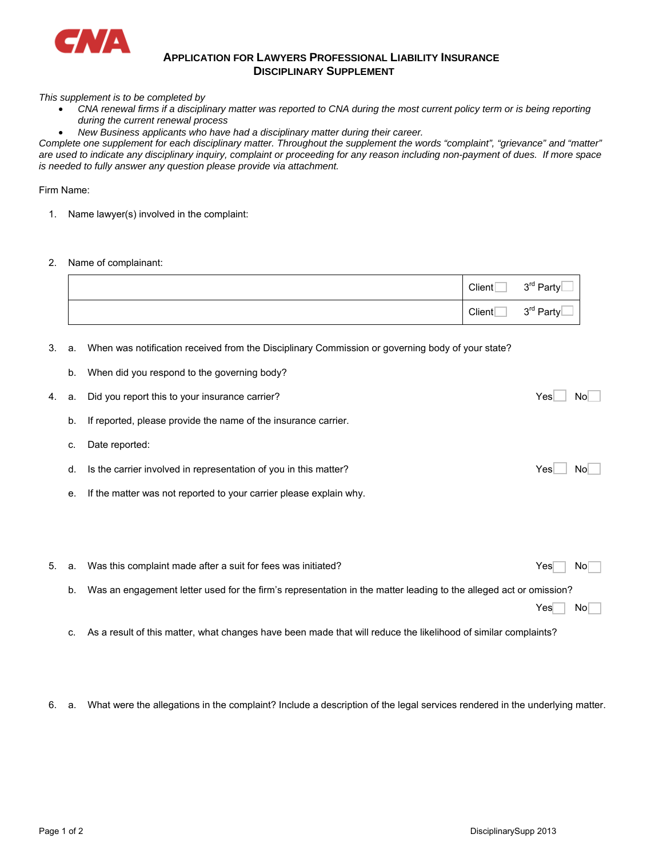

## **APPLICATION FOR LAWYERS PROFESSIONAL LIABILITY INSURANCE DISCIPLINARY SUPPLEMENT**

*This supplement is to be completed by* 

- *CNA renewal firms if a disciplinary matter was reported to CNA during the most current policy term or is being reporting during the current renewal process*
- *New Business applicants who have had a disciplinary matter during their career.*

*Complete one supplement for each disciplinary matter. Throughout the supplement the words "complaint", "grievance" and "matter" are used to indicate any disciplinary inquiry, complaint or proceeding for any reason including non-payment of dues. If more space is needed to fully answer any question please provide via attachment.* 

Firm Name:

- 1. Name lawyer(s) involved in the complaint:
- 2. Name of complainant:

| Client | 3rd Party             |
|--------|-----------------------|
| Client | 3 <sup>rd</sup> Party |

- 3. a. When was notification received from the Disciplinary Commission or governing body of your state?
	- b. When did you respond to the governing body?

|  | 4. a. Did you report this to your insurance carrier?              | Yesl | No |  |
|--|-------------------------------------------------------------------|------|----|--|
|  | b. If reported, please provide the name of the insurance carrier. |      |    |  |

- c. Date reported:
- d. Is the carrier involved in representation of you in this matter? The Manuson of the Carrier involved in representation of you in this matter?
- e. If the matter was not reported to your carrier please explain why.

| 5. a. | Was this complaint made after a suit for fees was initiated?                                                      | No<br>Yesl |
|-------|-------------------------------------------------------------------------------------------------------------------|------------|
| b.    | Was an engagement letter used for the firm's representation in the matter leading to the alleged act or omission? |            |
|       |                                                                                                                   | No<br>Yes  |

c. As a result of this matter, what changes have been made that will reduce the likelihood of similar complaints?

6. a. What were the allegations in the complaint? Include a description of the legal services rendered in the underlying matter.